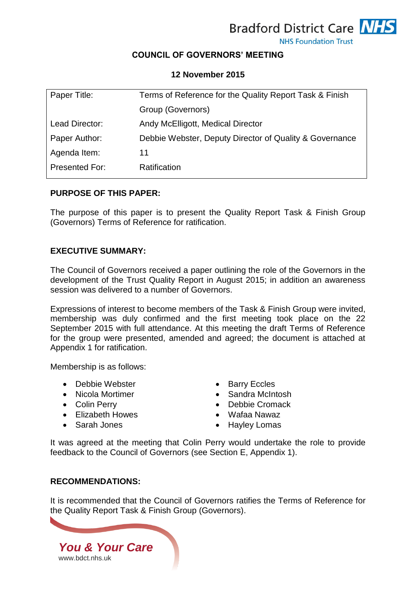

**NHS Foundation Trust** 

# **COUNCIL OF GOVERNORS' MEETING**

# **12 November 2015**

| Paper Title:          | Terms of Reference for the Quality Report Task & Finish |
|-----------------------|---------------------------------------------------------|
|                       | Group (Governors)                                       |
| Lead Director:        | Andy McElligott, Medical Director                       |
| Paper Author:         | Debbie Webster, Deputy Director of Quality & Governance |
| Agenda Item:          | 11                                                      |
| <b>Presented For:</b> | Ratification                                            |
|                       |                                                         |

### **PURPOSE OF THIS PAPER:**

The purpose of this paper is to present the Quality Report Task & Finish Group (Governors) Terms of Reference for ratification.

### **EXECUTIVE SUMMARY:**

The Council of Governors received a paper outlining the role of the Governors in the development of the Trust Quality Report in August 2015; in addition an awareness session was delivered to a number of Governors.

Expressions of interest to become members of the Task & Finish Group were invited, membership was duly confirmed and the first meeting took place on the 22 September 2015 with full attendance. At this meeting the draft Terms of Reference for the group were presented, amended and agreed; the document is attached at Appendix 1 for ratification.

Membership is as follows:

- Debbie Webster Barry Eccles
- 
- 
- Elizabeth Howes Wafaa Nawaz
- 
- 
- Nicola Mortimer **Canadia** Sandra McIntosh
- Colin Perry **Colin Perry Colin Perry Debbie Cromack** 
	-
- Sarah Jones **Caracter Sarah Jones Caracter Sarah Jones** Propose and American Caracter School and American Caracter School and American Caracter School and American Caracter School and American Caracter School and America

It was agreed at the meeting that Colin Perry would undertake the role to provide feedback to the Council of Governors (see Section E, Appendix 1).

# **RECOMMENDATIONS:**

It is recommended that the Council of Governors ratifies the Terms of Reference for the Quality Report Task & Finish Group (Governors).

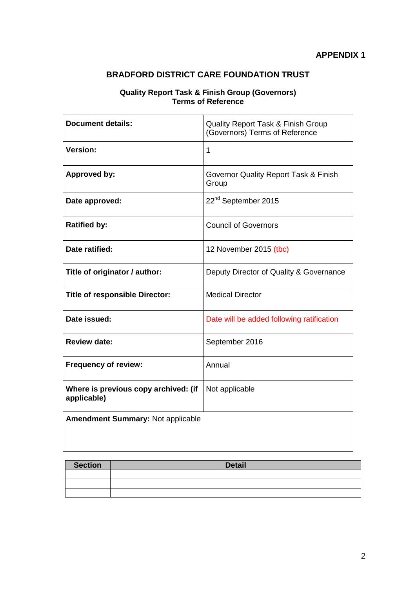# **BRADFORD DISTRICT CARE FOUNDATION TRUST**

#### **Quality Report Task & Finish Group (Governors) Terms of Reference**

| <b>Document details:</b>                            | Quality Report Task & Finish Group<br>(Governors) Terms of Reference |
|-----------------------------------------------------|----------------------------------------------------------------------|
| <b>Version:</b>                                     | 1                                                                    |
| <b>Approved by:</b>                                 | Governor Quality Report Task & Finish<br>Group                       |
| Date approved:                                      | 22 <sup>nd</sup> September 2015                                      |
| <b>Ratified by:</b>                                 | <b>Council of Governors</b>                                          |
| Date ratified:                                      | 12 November 2015 (tbc)                                               |
| Title of originator / author:                       | Deputy Director of Quality & Governance                              |
| <b>Title of responsible Director:</b>               | <b>Medical Director</b>                                              |
| Date issued:                                        | Date will be added following ratification                            |
| <b>Review date:</b>                                 | September 2016                                                       |
| <b>Frequency of review:</b>                         | Annual                                                               |
| Where is previous copy archived: (if<br>applicable) | Not applicable                                                       |
| <b>Amendment Summary: Not applicable</b>            |                                                                      |

| Section | <b>Detail</b> |
|---------|---------------|
|         |               |
|         |               |
|         |               |